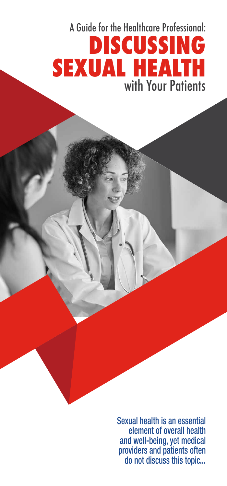# A Guide for the Healthcare Professional: **DISCUSSING SEXUAL HEALTH**  with Your Patients

Sexual health is an essential element of overall health and well-being, yet medical providers and patients often do not discuss this topic...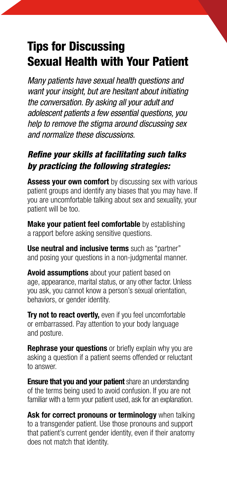### Tips for Discussing Sexual Health with Your Patient

 *the conversation. By asking all your adult and adolescent patients a few essential questions, you Many patients have sexual health questions and want your insight, but are hesitant about initiating help to remove the stigma around discussing sex and normalize these discussions.* 

#### *Refne your skills at facilitating such talks by practicing the following strategies:*

**Assess your own comfort** by discussing sex with various patient groups and identify any biases that you may have. If you are uncomfortable talking about sex and sexuality, your patient will be too.

**Make your patient feel comfortable** by establishing a rapport before asking sensitive questions.

**Use neutral and inclusive terms** such as "partner" and posing your questions in a non-judgmental manner.

 you ask, you cannot know a person's sexual orientation, **Avoid assumptions** about your patient based on age, appearance, marital status, or any other factor. Unless behaviors, or gender identity.

**Try not to react overtly, even if you feel uncomfortable** or embarrassed. Pay attention to your body language and posture.

**Rephrase your questions** or briefly explain why you are asking a question if a patient seems offended or reluctant to answer.

**Ensure that you and your patient** share an understanding of the terms being used to avoid confusion. If you are not familiar with a term your patient used, ask for an explanation.

**Ask for correct pronouns or terminology** when talking to a transgender patient. Use those pronouns and support that patient's current gender identity, even if their anatomy does not match that identity.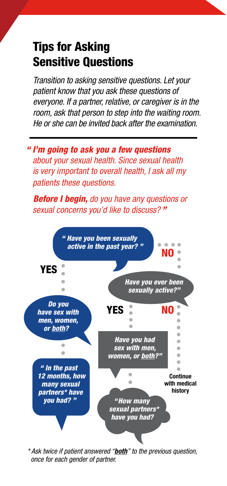### Tips for Asking Sensitive Questions

*Transition to asking sensitive questions. Let your patient know that you ask these questions of everyone. If a partner, relative, or caregiver is in the room, ask that person to step into the waiting room. He or she can be invited back after the examination.* 

*" I'm going to ask you a few questions about your sexual health. Since sexual health is very important to overall health, I ask all my patients these questions.*

 *Before I begin, do you have any questions or sexual concerns you'd like to discuss? "* 



 *\* Ask twice if patient answered "both" to the previous question, once for each gender of partner.*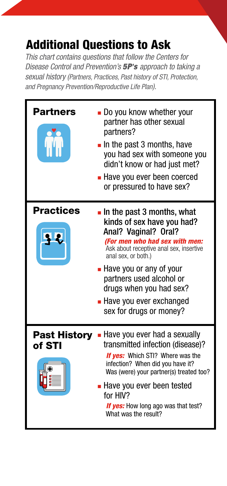## Additional Questions to Ask

*This chart contains questions that follow the Centers for Disease Control and Prevention's 5P's approach to taking a sexual history (Partners, Practices, Past history of STI, Protection, and Pregnancy Prevention/Reproductive Life Plan).* 

| Partners                      | Do you know whether your<br>partner has other sexual<br>partners?<br>$\blacksquare$ In the past 3 months, have<br>you had sex with someone you<br>didn't know or had just met?<br>■ Have you ever been coerced<br>or pressured to have sex?                                                                                                     |
|-------------------------------|-------------------------------------------------------------------------------------------------------------------------------------------------------------------------------------------------------------------------------------------------------------------------------------------------------------------------------------------------|
| <b>Practices</b>              | $\blacksquare$ In the past 3 months, what<br>kinds of sex have you had?<br>Anal? Vaginal? Oral?<br>(For men who had sex with men:<br>Ask about receptive anal sex, insertive<br>anal sex, or both.)<br>• Have you or any of your<br>partners used alcohol or<br>drugs when you had sex?<br>- Have you ever exchanged<br>sex for drugs or money? |
| <b>Past History</b><br>of STI | - Have you ever had a sexually<br>transmitted infection (disease)?<br><b>If yes:</b> Which STI? Where was the<br>infection? When did you have it?<br>Was (were) your partner(s) treated too?<br>■ Have you ever been tested<br>for HIV?<br><b>If yes:</b> How long ago was that test?<br>What was the result?                                   |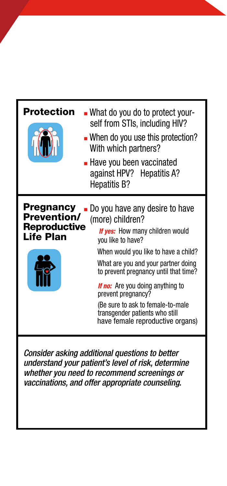| Protection                                                                 | - What do you do to protect your-<br>self from STIs, including HIV?<br>• When do you use this protection?<br>With which partners?<br>- Have you been vaccinated<br>against HPV? Hepatitis A?<br>Hepatitis B?                                                                                                                                                                                                   |
|----------------------------------------------------------------------------|----------------------------------------------------------------------------------------------------------------------------------------------------------------------------------------------------------------------------------------------------------------------------------------------------------------------------------------------------------------------------------------------------------------|
| <b>Pregnancy</b><br><b>Prevention/</b><br><b>Reproductive</b><br>Life Plan | Do you have any desire to have<br>(more) children?<br>If yes: How many children would<br>you like to have?<br>When would you like to have a child?<br>What are you and your partner doing<br>to prevent pregnancy until that time?<br><b>If no:</b> Are you doing anything to<br>prevent pregnancy?<br>(Be sure to ask to female-to-male<br>transgender patients who still<br>have female reproductive organs) |

Consider asking additional questions to better understand your patient's level of risk, determine whether you need to recommend screenings or vaccinations, and offer appropriate counseling.